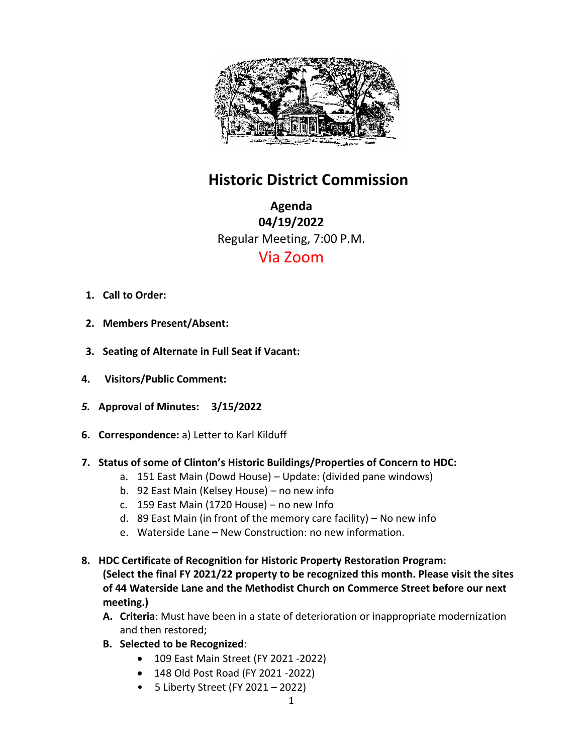

## **Historic District Commission**

**Agenda 04/19/2022** Regular Meeting, 7:00 P.M. Via Zoom

- **1. Call to Order:**
- **2. Members Present/Absent:**
- **3. Seating of Alternate in Full Seat if Vacant:**
- **4. Visitors/Public Comment:**
- *5.* **Approval of Minutes: 3/15/2022**
- **6. Correspondence:** a) Letter to Karl Kilduff
- **7. Status of some of Clinton's Historic Buildings/Properties of Concern to HDC:**
	- a. 151 East Main (Dowd House) Update: (divided pane windows)
	- b. 92 East Main (Kelsey House) no new info
	- c. 159 East Main (1720 House) no new Info
	- d. 89 East Main (in front of the memory care facility) No new info
	- e. Waterside Lane New Construction: no new information.
- **8. HDC Certificate of Recognition for Historic Property Restoration Program: (Select the final FY 2021/22 property to be recognized this month. Please visit the sites of 44 Waterside Lane and the Methodist Church on Commerce Street before our next meeting.)** 
	- **A. Criteria**: Must have been in a state of deterioration or inappropriate modernization and then restored;
	- **B. Selected to be Recognized**:
		- 109 East Main Street (FY 2021 -2022)
		- 148 Old Post Road (FY 2021 -2022)
		- 5 Liberty Street (FY 2021 2022)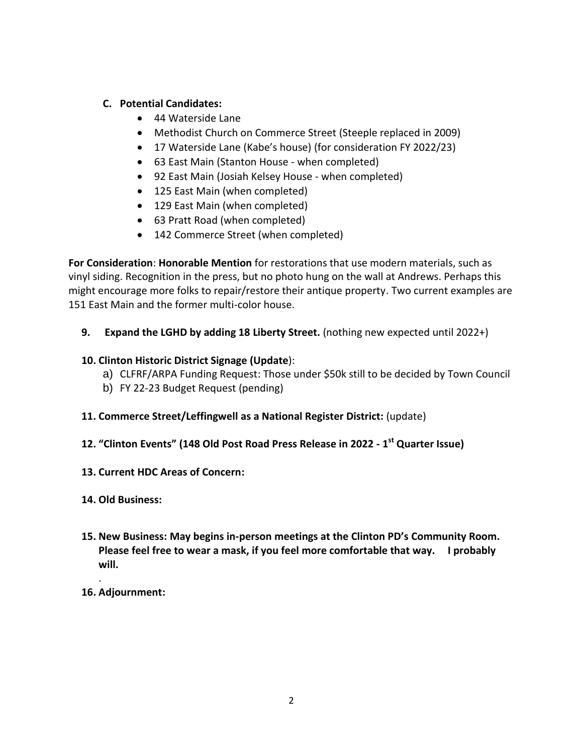## **C. Potential Candidates:**

- 44 Waterside Lane
- Methodist Church on Commerce Street (Steeple replaced in 2009)
- 17 Waterside Lane (Kabe's house) (for consideration FY 2022/23)
- 63 East Main (Stanton House when completed)
- 92 East Main (Josiah Kelsey House when completed)
- 125 East Main (when completed)
- 129 East Main (when completed)
- 63 Pratt Road (when completed)
- 142 Commerce Street (when completed)

**For Consideration**: **Honorable Mention** for restorations that use modern materials, such as vinyl siding. Recognition in the press, but no photo hung on the wall at Andrews. Perhaps this might encourage more folks to repair/restore their antique property. Two current examples are 151 East Main and the former multi-color house.

**9. Expand the LGHD by adding 18 Liberty Street.** (nothing new expected until 2022+)

## **10. Clinton Historic District Signage (Update**):

- a) CLFRF/ARPA Funding Request: Those under \$50k still to be decided by Town Council
- b) FY 22-23 Budget Request (pending)
- **11. Commerce Street/Leffingwell as a National Register District:** (update)
- **12. "Clinton Events" (148 Old Post Road Press Release in 2022 - 1 st Quarter Issue)**
- **13. Current HDC Areas of Concern:**
- **14. Old Business:**
- **15. New Business: May begins in-person meetings at the Clinton PD's Community Room. Please feel free to wear a mask, if you feel more comfortable that way. I probably will.**
- **16. Adjournment:**

.